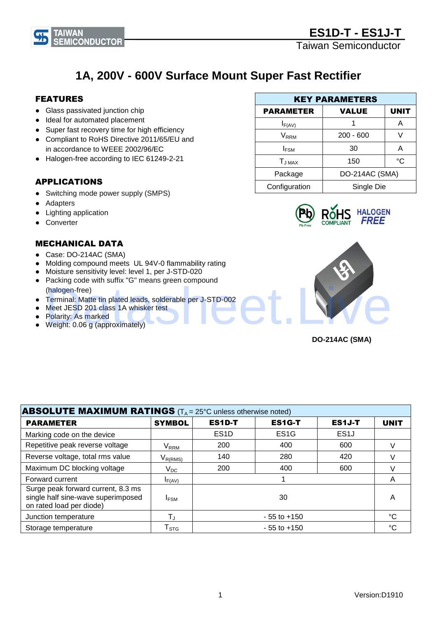



# **1A, 200V - 600V Surface Mount Super Fast Rectifier**

### FEATURES

**TAIWAN** 

● Glass passivated junction chip

**MICONDUCTOR** 

- Ideal for automated placement
- Super fast recovery time for high efficiency
- Compliant to RoHS Directive 2011/65/EU and in accordance to WEEE 2002/96/EC
- Halogen-free according to IEC 61249-2-21

### APPLICATIONS

- Switching mode power supply (SMPS)
- Adapters
- Lighting application
- Converter

### MECHANICAL DATA

- Case: DO-214AC (SMA)
- Molding compound meets UL 94V-0 flammability rating
- Moisture sensitivity level: level 1, per J-STD-020
- Packing code with suffix "G" means green compound (halogen-free)
- Terminal: Matte tin plated leads, solderable per J-STD-002
- Meet JESD 201 class 1A whisker test
- Polarity: As marked
- Weight: 0.06 g (approximately)







**DO-214AC (SMA)**

| <b>ABSOLUTE MAXIMUM RATINGS</b> ( $T_A = 25^\circ$ C unless otherwise noted)                         |                                         |                   |                   |                   |             |
|------------------------------------------------------------------------------------------------------|-----------------------------------------|-------------------|-------------------|-------------------|-------------|
| <b>PARAMETER</b>                                                                                     | <b>SYMBOL</b>                           | <b>ES1D-T</b>     | <b>ES1G-T</b>     | ES1J-T            | <b>UNIT</b> |
| Marking code on the device                                                                           |                                         | ES <sub>1</sub> D | ES <sub>1</sub> G | ES <sub>1</sub> J |             |
| Repetitive peak reverse voltage                                                                      | $\mathsf{V}_\mathsf{RRM}$               | 200               | 400               | 600               |             |
| Reverse voltage, total rms value                                                                     | $\mathsf{V}_{\mathsf{R}(\mathsf{RMS})}$ | 140               | 280               | 420               |             |
| Maximum DC blocking voltage                                                                          | $\mathsf{V}_{\mathsf{DC}}$              | 200               | 400               | 600               |             |
| Forward current                                                                                      | $I_{F(AV)}$                             |                   |                   |                   | Α           |
| Surge peak forward current, 8.3 ms<br>single half sine-wave superimposed<br>on rated load per diode) | <b>IFSM</b>                             |                   | 30                |                   | A           |
| Junction temperature                                                                                 | $\mathsf{T}_\mathsf{J}$                 |                   | $-55$ to $+150$   |                   | °C          |
| Storage temperature                                                                                  | $\mathsf{T}_{\texttt{STG}}$             |                   | $-55$ to $+150$   |                   | °C          |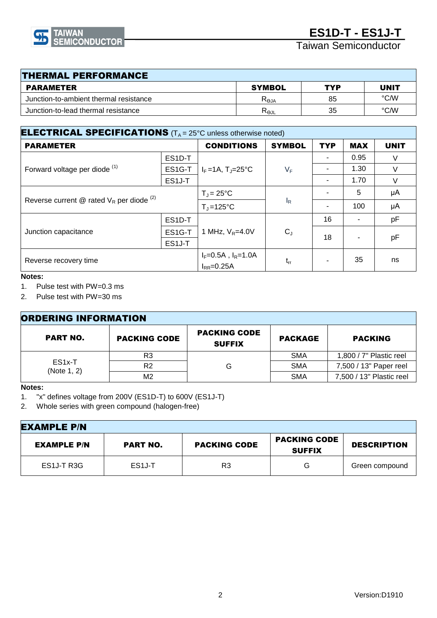

Taiwan Semiconductor

| <b>THERMAL PERFORMANCE</b>             |                  |     |             |  |  |
|----------------------------------------|------------------|-----|-------------|--|--|
| <b>PARAMETER</b>                       | <b>SYMBOL</b>    | TYP | <b>UNIT</b> |  |  |
| Junction-to-ambient thermal resistance | $R_{\theta$ JA   | 85  | °C/W        |  |  |
| Junction-to-lead thermal resistance    | R <sub>ejl</sub> | 35  | °C∕W        |  |  |

| <b>ELECTRICAL SPECIFICATIONS</b> ( $T_A = 25^\circ$ C unless otherwise noted) |        |                                           |               |            |            |             |
|-------------------------------------------------------------------------------|--------|-------------------------------------------|---------------|------------|------------|-------------|
| <b>PARAMETER</b>                                                              |        | <b>CONDITIONS</b>                         | <b>SYMBOL</b> | <b>TYP</b> | <b>MAX</b> | <b>UNIT</b> |
|                                                                               | ES1D-T |                                           | $V_F$         |            | 0.95       | V           |
| Forward voltage per diode <sup>(1)</sup>                                      | ES1G-T | $I_F = 1A$ , T <sub>J</sub> =25°C         |               |            | 1.30       | $\vee$      |
|                                                                               | ES1J-T |                                           |               |            | 1.70       | V           |
| Reverse current @ rated $V_R$ per diode $(2)$                                 |        | $T_J = 25^{\circ}C$                       | $I_R$         |            | 5          | μA          |
|                                                                               |        | $T_{\rm J}$ =125°C                        |               |            | 100        | μA          |
| ES1D-T                                                                        |        |                                           |               | 16         |            | pF          |
| Junction capacitance                                                          | ES1G-T | 1 MHz, $V_R = 4.0V$                       | $C_J$         | 18         |            |             |
| ES <sub>1</sub> J-T                                                           |        |                                           |               |            |            | pF          |
| Reverse recovery time                                                         |        | $I_F=0.5A$ , $I_R=1.0A$<br>$I_{RR}=0.25A$ | $t_{rr}$      |            | 35         | ns          |
|                                                                               |        |                                           |               |            |            |             |

#### **Notes:**

1. Pulse test with PW=0.3 ms

2. Pulse test with PW=30 ms

| <b>ORDERING INFORMATION</b>        |                     |                                      |                |                          |
|------------------------------------|---------------------|--------------------------------------|----------------|--------------------------|
| <b>PART NO.</b>                    | <b>PACKING CODE</b> | <b>PACKING CODE</b><br><b>SUFFIX</b> | <b>PACKAGE</b> | <b>PACKING</b>           |
| ES <sub>1x</sub> -T<br>(Note 1, 2) | R3                  | G                                    | <b>SMA</b>     | 1,800 / 7" Plastic reel  |
|                                    | R <sub>2</sub>      |                                      | <b>SMA</b>     | 7,500 / 13" Paper reel   |
|                                    | M2                  |                                      | <b>SMA</b>     | 7,500 / 13" Plastic reel |

#### **Notes:**

1. "x" defines voltage from 200V (ES1D-T) to 600V (ES1J-T)

2. Whole series with green compound (halogen-free)

| <b>EXAMPLE P/N</b> |                     |                     |                                      |                    |
|--------------------|---------------------|---------------------|--------------------------------------|--------------------|
| <b>EXAMPLE P/N</b> | <b>PART NO.</b>     | <b>PACKING CODE</b> | <b>PACKING CODE</b><br><b>SUFFIX</b> | <b>DESCRIPTION</b> |
| ES1J-T R3G         | ES <sub>1</sub> J-T | R3                  | G                                    | Green compound     |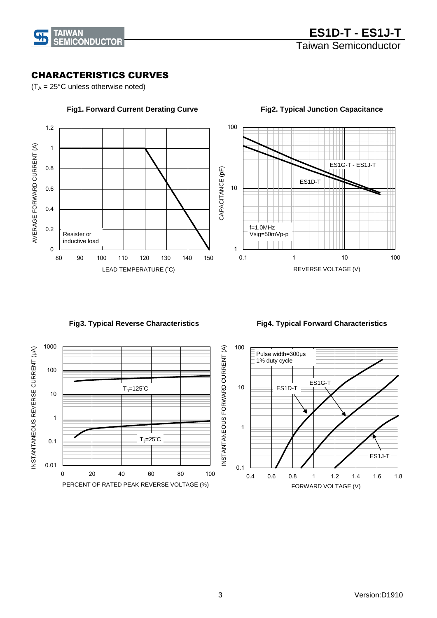

### CHARACTERISTICS CURVES

 $(T_A = 25^{\circ}C$  unless otherwise noted)



### **Fig1. Forward Current Derating Curve**

 **Fig4. Typical Forward Characteristics** 



 **Fig3. Typical Reverse Characteristics** 



 **Fig2. Typical Junction Capacitance**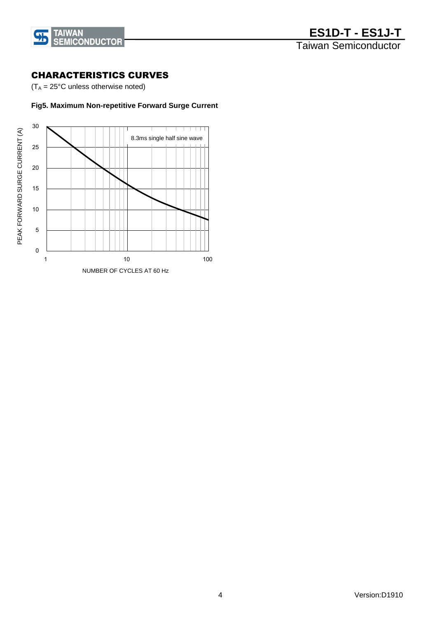

### CHARACTERISTICS CURVES

 $(T_A = 25^{\circ}C$  unless otherwise noted)

### **Fig5. Maximum Non-repetitive Forward Surge Current**

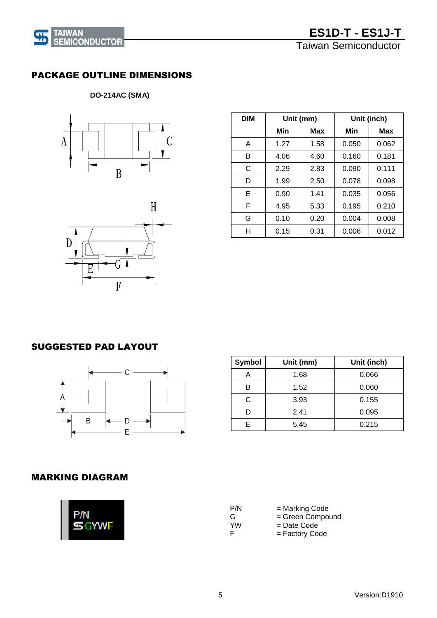Taiwan Semiconductor



# PACKAGE OUTLINE DIMENSIONS

## **DO-214AC (SMA)**





| <b>DIM</b> | Unit (mm) |      |       | Unit (inch) |
|------------|-----------|------|-------|-------------|
|            | Min       | Max  | Min   | Max         |
| A          | 1.27      | 1.58 | 0.050 | 0.062       |
| в          | 4.06      | 4.60 | 0.160 | 0.181       |
| C          | 2.29      | 2.83 | 0.090 | 0.111       |
| D          | 1.99      | 2.50 | 0.078 | 0.098       |
| Е          | 0.90      | 1.41 | 0.035 | 0.056       |
| F          | 4.95      | 5.33 | 0.195 | 0.210       |
| G          | 0.10      | 0.20 | 0.004 | 0.008       |
| н          | 0.15      | 0.31 | 0.006 | 0.012       |

# SUGGESTED PAD LAYOUT



| <b>Symbol</b> | Unit (mm) | Unit (inch) |
|---------------|-----------|-------------|
|               | 1.68      | 0.066       |
|               | 1.52      | 0.060       |
| C             | 3.93      | 0.155       |
|               | 2.41      | 0.095       |
|               | 5.45      | 0.215       |

### MARKING DIAGRAM

| P/N | = Marking Code   |
|-----|------------------|
| G   | = Green Compound |
| YW  | $=$ Date Code    |
| н   | = Factory Code   |